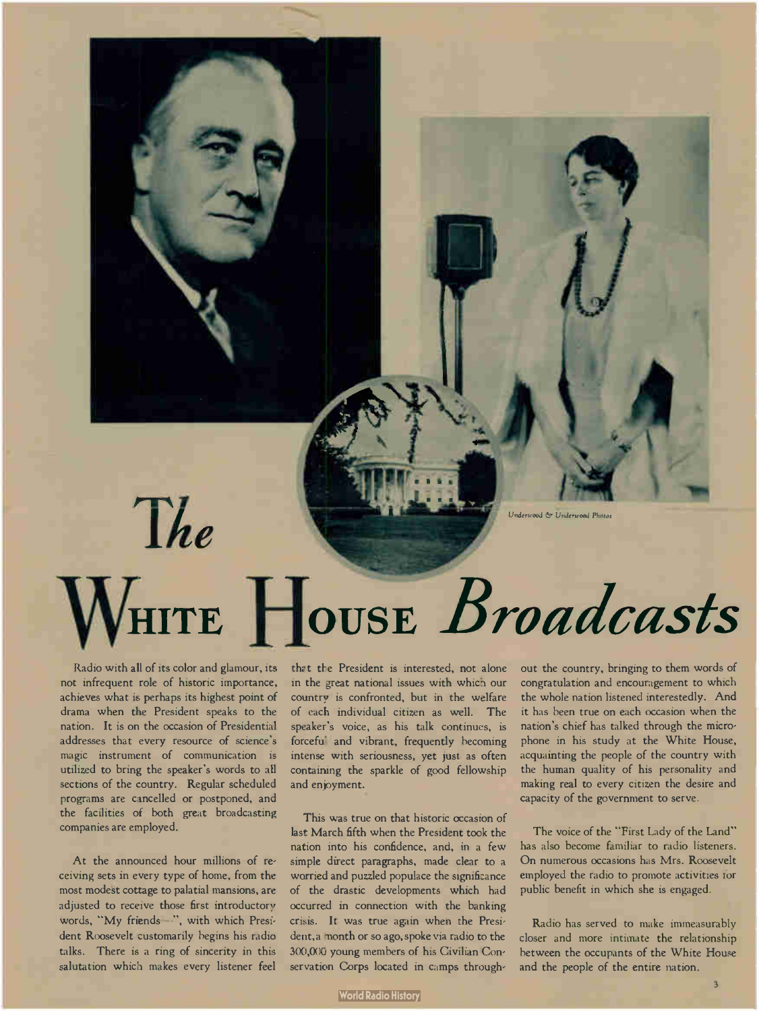Underwood & Underwood Photos

# $The$ HITE HOUSE Broadcasts

Radio with all of its color and glamour, its not infrequent role of historic importance, achieves what is perhaps its highest point of drama when the President speaks to the nation. It is on the occasion of Presidential addresses that every resource of science's magic instrument of communication is utilized to bring the speaker's words to all sections of the country. Regular scheduled programs are cancelled or postponed, and the facilities of both great broadcasting companies are employed.

At the announced hour millions of receiving sets in every type of home, from the most modest cottage to palatial mansions, are adjusted to receive those first introductory words, "My friends-", with which President Roosevelt customarily begins his radio talks. There is a ring of sincerity in this salutation which makes every listener feel

that the President is interested, not alone in the great national issues with which our country is confronted, but in the welfare of each individual citizen as well. The speaker's voice, as his talk continues, is forcefu<sup>'</sup> and vibrant, frequently becoming intense with seriousness, yet just as often containing the sparkle of good fellowship and enjoyment.

This was true on that historic occasion of last March fifth when the President took the nation into his confidence, and, in a few simple direct paragraphs, made clear to a worried and puzzled populace the significance of the drastic developments which had occurred in connection with the banking crisis. It was true again when the President,a month or so ago, spoke via radio to the 300,000 young members of his Civilian Conservation Corps located in camps through-

out the country, bringing to them words of congratulation and encouragement to which the whole nation listened interestedly. And it has been true on each occasion when the nation's chief has talked through the microphone in his study at the White House, acquainting the people of the country with the human quality of his personality and making real to every citizen the desire and capacity of the government to serve.

The voice of the "First Lady of the Land" has also become familiar to radio listeners. On numerous occasions has Mrs. Roosevelt employed the radio to promote activities for public benefit in which she is engaged.

Radio has served to make immeasurably closer and more intimate the relationship between the occupants of the White House and the people of the entire nation.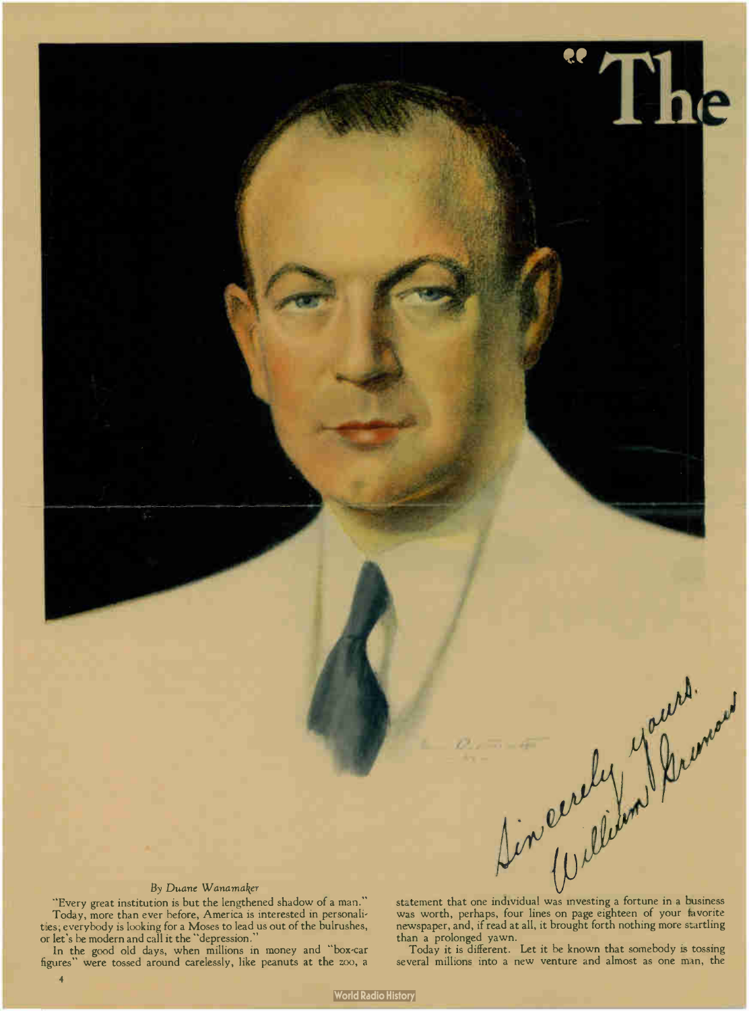#### By Duane Wanamaker

"Every great institution is but the lengthened shadow of a man." Today, more than ever before, America is interested in personalities; everybody is looking for a Moses to lead us out of the bulrushes, or let's be modern and call it the " depression."

In the good old days, when millions in money and "box-car figures" were tossed around carelessly, like peanuts at the zoo, a

Statement that one individual was investing a fortune in a business<br>was worth, perhaps, four lines on page eighteen of your final was worth, perhaps, four lines on page eighteen of your favorite newspaper, and, if read at all, it brought forth nothing more startling than a prolonged yawn.

Today it is different. Let it be known that somebody is tossing several millions into a new venture and almost as one man, the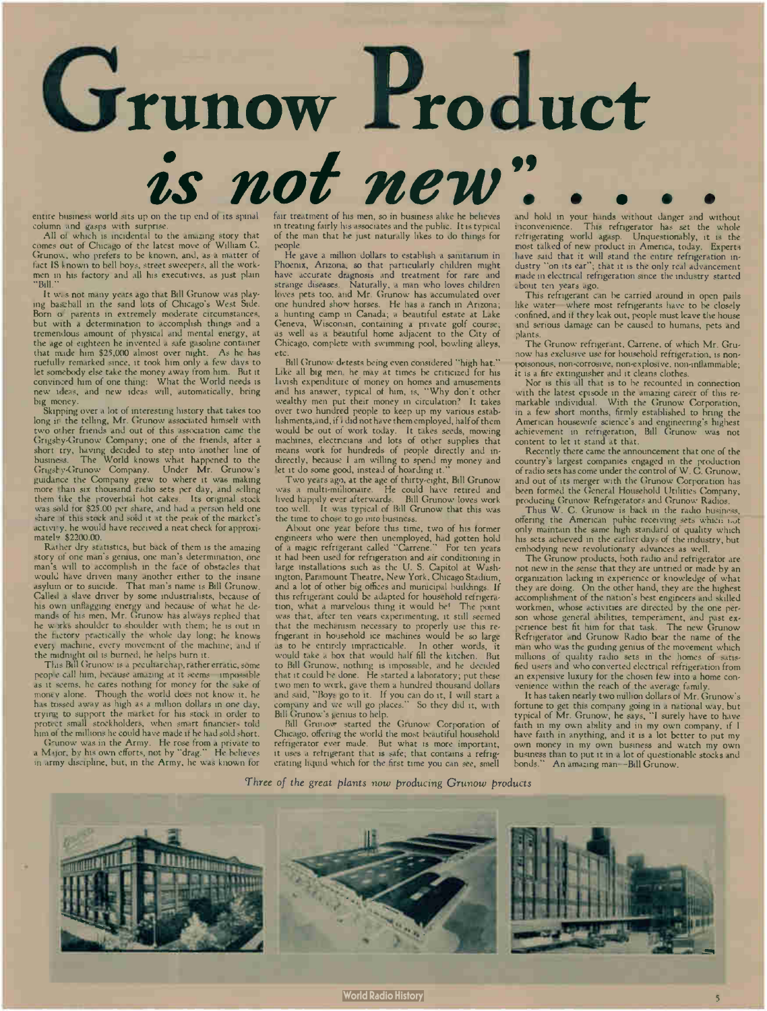

column and gasps with surprise. All of which is incidental to the amazing story that comes out of Chicago of the latest move of William C. Grunow, who prefers to be known, and, as a matter of fact IS known to bell boys, street sweepers, all the work-men in his factory and all his executives, as just plain

"Bill." It was not many years ago that Bill Grunow was play-ing baseball in the sand lots of Chicago's West Side. Born of parents in extremely moderate circumstances, but with a determination to accomplish things and a tremendous amount of physical and mental energy, at the age of eighteen he invented a safe gasoline container that made him \$25,000 almost over night. As he has ruefully remarked since, it took him only a few days to let somebody else take the money away from him. But it convinced him of one thing: What the World needs is new ideas, and new ideas will, automatically, bring big money.

Skipping over a lot of interesting history that takes too long in the telling, Mr. Grunow associated himself with two other friends and out of this association came the two other triends and out of this association came the<br>Grigsby-Grunow Company; one of the friends, after a<br>short try, having decided to step into another line of<br>business. The World knows what happened to the<br>Grigsby-Gruno them like the proverbial hot cakes. Its original stock was sold for \$25.00 per share, and had a person held one share at this stock and sold it at the peak of the market's share of this stock and sold it at the peak of the market's activity, he would have received a neat check for approxi-mately \$2200.00.

Rather dry statistics, but back of them is the amazing story of one man's genius, one man's determination, one man's will to accomplish in the face of obstacles that would have driven many another either to the insane asylum or to suicide. That man's name is Bill Grunow. Called a slave driver by some industrialists, because of his own unflagging energy and because of what he demands of his men, Mr. Grunow has always replied that he works shoulder to shoulder with them; he is out in the factory practically the whole day long; he knows every machine, every movement of the machine; and if the midnight oil is burned, he helps burn it.

This Bill Grunow is a peculiarchap, rather erratic, some people call him, because amazing at it seems impossible as it seems, he cares nothing for money for the sake of money alone. Though the world does not know it, he has tossed away as high as a million dollars in one day, trying to support the market for his stock in order to protect small stockholders, when smart financiers told him of the millions he could have made if he had sold short.

G-unow was in the Army. He rose from a private to a  $M_{\rm 4J0T}$ , by his own efforts, not by "drag." He believes in army discipline, but, in the Army, he was known for

fair treatment of his men, so in business alike he believes in treating fairly his associates and the public. It is typical of the man that he just naturally likes to do things for people.

He gave a million dollars to establish a sanitarium in Phoenix, Arizona, so that particularly children might have accurate diagnosis and treatment for rare and strange diseases. Naturally, a man who loves children loves pets too, and Mr. Grunow has accumulated over one hundred show horses. He has a ranch in Arizona; a hunting camp in Canada; a beautiful estate at Lake Geneva, Wisconsin, containing a private golf course; as well as a beautiful home adjacent to the City of Chicago, complete with swimming pool, bowling alleys, etc.

Bill Grunow detests being even considered "high hat." Like all big men, he may at times be criticized for his lavish expenditure of money on homes and amusements and his answer, typical of him, is, " Why don't other wealthy men put their money in circulation? It takes over two hundred people to keep up my various establishments,and, if I did not have them employed, half of them would be out of work today. It takes seeds, mowing machines, electricians and lots of other supplies that means work for hundreds of people directly and indirectly, because I am willing to spend my money and let it do some good, instead of hoarding it."

Two years ago, at the age of thirty-eight, Bill Grunow was a multi-iniilionaire. He could have retired and lived happily ever afterwards. Bill Grunow loves work too well. It was typical of Bill Grunow that this was the time to chose to go into business.

About one year before this time, two of his former engineers who were then unemployed, had gotten hold of a magic refrigerant called "Cariene." For ten years it had been used for refrigeration and air conditioning in large installations such as the U. S. Capitol at Wash-ington, Paramount Theatre, New York, Chicago Stadium, and a lot of other big offices and municipal buildings. If this refrigerant could be adapted for household refrigeration, what a marvelous thing it would be! The point was that, after ten years experimenting, it still seemed that the mechanism necessary to properly use this refrigerant in household ice machines would be so large as to be entirely impracticable. In other words, it<br>would take a box that would half fill the kitchen. But<br>to Bill Grunow, nothing is impossible, and he decided that it could be done. He started a laboratory; put these two men to work, gave them a hundred thousand dollars and said, " Boys go to it. If you can do it, I will start a company and we will go places." So they did it, with Bill Grunow's genius to help. Bill Grunow started the Geunow Corporation of

Chicago, offering the world the most beautiful household refrigerator ever made. But what is more important,<br>it uses a refrigerant that is safe; that contains a refrigerating liquid which for the first time you can see, smell

and hold in your hands without danger and without inconvenience. This refrigerator has set the whole This refrigerator has set the whole refrigerating world agasp. Unquestionably, it is the most talked of new product in America, today. Experts have said that it will stand the entire refrigeration industry "on its ear"; that it is the only real advancement made in electrical refrigeration since the industry started about ten years ago.

This refrigerant can be carried around in open pails like water—where most refrigerants have to be closely confined, and if they leak out, people must leave the house and serious damage can be caused to humans, pets and plants.

The Grunow refrigerant, Carrene, of which Mr. Grunow has exclusive use for household refrigeration, is nonpoisonous, non-corrosive, non-explosive, non-inflammable; it is a fire extinguisher and it cleans clothes.

Nor is this all that is to be recounted in connection with the latest episode in the amazing career of this re-markable individual. With the Grunow Corporation, in a few short months, firmly established to bring the American housewife science's and engineering's highest achievement in refrigeration, Bill Grunow was not content to let it stand at that.

Recently there came the announcement that one of the country's largest companies engaged in the production of radio sets has come under the control of W. C. Grunow, and out of its merger with the Grunow Corporation has been formed the General Household Utilities Company,

producing Grunow Refrigerators and Grunow Radios. Thus W. C. Grunow is back in the radio business, offering the American public receiving sets which not only maintain the same high standard of quality which his sets achieved in the earlier days of the industry, but embodying new revolutionary advances as well.

The Grunow products, both radio and refrigerator are not new in the sense that they are untried or made by an organization lacking in experience or knowledge of what they are doing. On the other hand, they are the highest accomplishment of the nation's best engineers and skilled workmen, whose activities are directed by the one person whose general abilities, temperament, and past experience best fit him for that task. The new Grunow Refrigerator and Grunow Radio bear the name of the man who was the guiding genius of the movement which millions of quality radio sets in the homes of satisfied users and who converted electrical refrigeration from an expensive luxury for the chosen few into a home con- ' venience within the reach of the average family.

It has taken nearly two million dollars of Mr. Grunow's fortune to get this company going in a national way, but typical of Mr. Grunow, he says, "I surely have to have faith in my own ability and in my own company, if I have faith in anything, and it is a lot better to put my own money in my own business and watch my own business than to put it in a lot of questionable stocks and bonds." An amazing man—Bill Grunow.

Three of the great plants now producing Grunow products

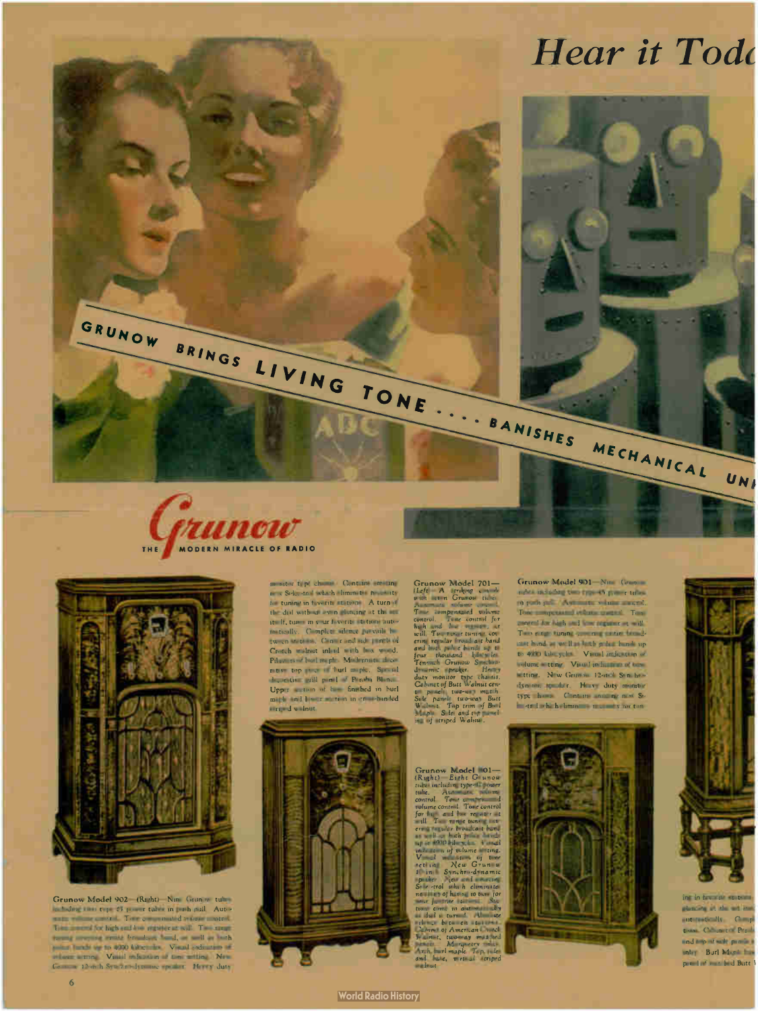





Grunow Model 902—(Right)—Nine Grunow tubes including two type 45 power tubes in push pull. Auto-matic volume control. Tone compensated volume control. Tone control for high and low register at will. Two range tuning covering counts broadcast band, as well as both police bands up to 4000 kilocycles. Visual indication of volume setting. Visual indication of tone setting. New Granow 12-inch Synchro-dynamic speaker. Heavy duty

monitor type chassis. Contains amazing new Si-lec.trol which eliminates necessity for tuning in favorite stations. A turn of the dial without even glancing at the set itself, tunes in your favorite stations automatically. Complete silence prevails between stations. Conter and side panels of Crotch walnut inlaid with box wood. Pilasters of burl maple. Modernistic decorative top piece of burl maple. Special decorative grill panel of Peroba Blanca. Upper section of has finished in burl maple and lower section in cross- banded striped walnut.



Grunow Model 701—<br>(Left – A striking console<br>with seven Grunoi tubes. control. Tene control for will To the control of the control of the control of the control of the control of the control of the control of the control of the control of the control of the control of the photo is the photo in the control of the cont Walnut. Top trim of Burl Maple. Sides and top panel-ing of striped Walnut.

Graphital Explorer and the set of the set of the set of the set of the set of the set of the set of the set of the set of the set of the set of the set of the set of the set of the set of the set of the set of the set of

Grunow Model 901-Nine Grun tubes including two type-45 power tubes in push pull. Automatic volume control. Tone compensated volume control. Tone control for high and low register at will. Two range tuning covering entire broad. cast band, as well as both police bands up to 4000 kilccycles. Visual indication of volume setting. Visual indication of tone setting. New Grunow 12-inch Synchron dynamic speaker. Heavy duty monitor type has a Contains amazing new Silectrol which diminates in construction





automatically. Compl tions. Comment Perob and top of side panels a inlay. Burl Maple has, panel of matched Butt

**World Radio History**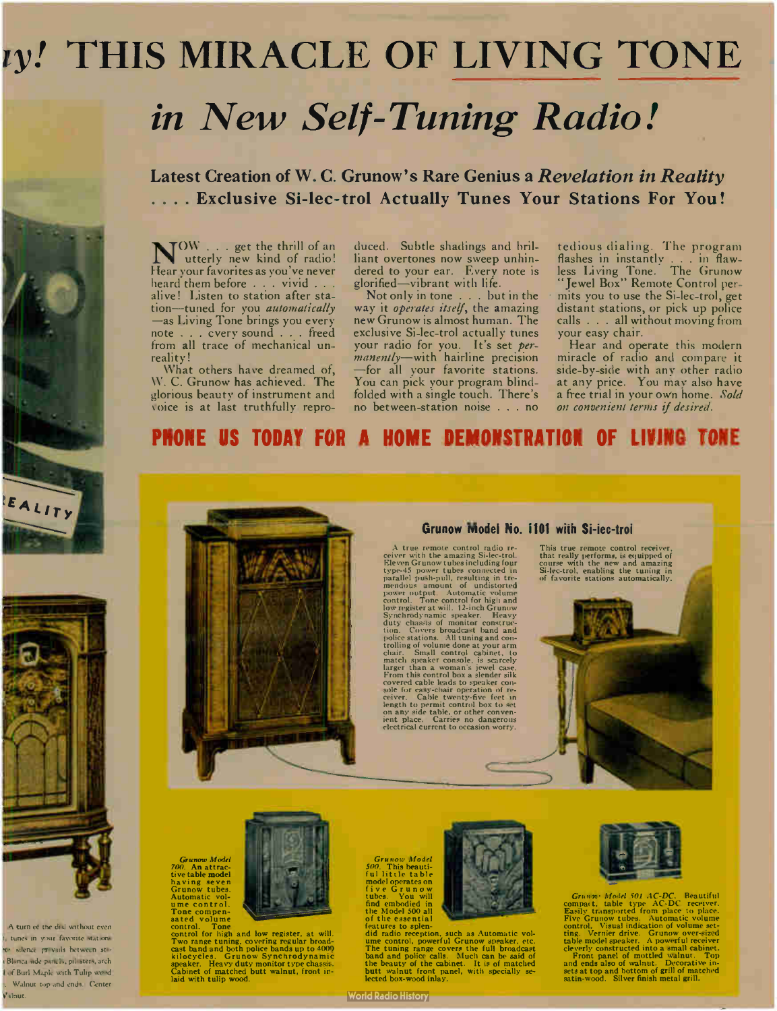## ty! THIS MIRACLE OF LIVING TONE in New Self- Tuning Radio!

#### Latest Creation of W. C. Grunow's Rare Genius a Revelation in Reality . . . . Exclusive Si-lec-trol Actually Tunes Your Stations For You!

N<sup>OW</sup> . . . get the thrill of an<br>utterly new kind of radio! Hear your favorites as you've never heard them before . . . vivid . . . alive! Listen to station after station—tuned for you automatically —as Living Tone brings you every note . . . cvery sound . . . freed from all trace of mechanical unreality!

What others have dreamed of, W. C. Grunow has achieved. The glorious beauty of instrument and voice is at last truthfully repro-

duced. Subtle shadings and brilliant overtones now sweep unhindered to your ear. Every note is glorified—vibrant with life.

Not only in tone . . . but in the way it *operates itself*, the amazing new Grunow is almost human. The exclusive Si-lec-trol actually tunes your radio for you. It's set *per*manently—with hairline precision —for all your favorite stations. You can pick your program blindfolded with a single touch. There's no between-station noise . . . no

tedious dialing. The program flashes in instantly . . . in flawless Living Tone. The Grunow "Jewel Box" Remote Control permits you to use the Si-lec-trol, get distant stations, or pick up police calls . . . all without moving from your easy chair.

Hear and operate this modern miracle of radio and compare it side-by-side with any other radio at any price. You may also ha a free trial in your own home. Sold on convenient terms if desired.

### PHONE US TODAY FOR A HOME DEMONSTRATION OF LIVING TONE



#### Grunow Model No. 1101 with Si-lec-trol

A true remote control radio re-<br>ceiver with the amazing Si-lec-trol.<br>Eleven Grunow tubes including four<br>type-45 power tubes connected in<br>parallel push-pull, resulting in tre-<br>mendous amount of undistorted in<br>mendous contro

This true remote control receiver,<br>that really performs, is equipped of<br>course with the new and amazing<br>Si-lec-trol, enabling the tuning in<br>of favorite stations automatically.



Gr*unow Model*<br>700. An attrac-<br>tive table **model** having seven Grunow tubes. Automatic vol-ume control. Tone compen-

sated volume<br>control. Tone<br>control for high and low register, at will.<br>Two range tuning, covering regular broad-<br>cast band and both police bands up to 4000<br>kilocycles. Grunow Synchrodynamic<br>Cabinet of matched butt walnut, laid with tulip wood.

Grunow Model 500. This beauti-

**World Radio History** 

Tutility that the Model of the Model operates on<br>tive Grund and the Model of the Model of the essential<br>of the essential<br>of the essential<br>features to splen-<br>time control, powerful Grunow speaker, etc.<br>The tuning range cove



 $Gnumat$ , thouch 501 AC-DC. Beautiful<br>compact, table type AC-DC. Beautiful<br>Easily transported from place to place.<br>Five Grunow tubes. Automatic volume<br>control. Visual indication of volume set-<br>ting. Vernier drive. Grunow ove

te silence privails between sti-Blanca side panels, pil sters, arch I of Burl Maple with Tulip wood Walnut top and ends. Center

A turn of the dial without even tunes in your favorite stations

ALITY

Valnut.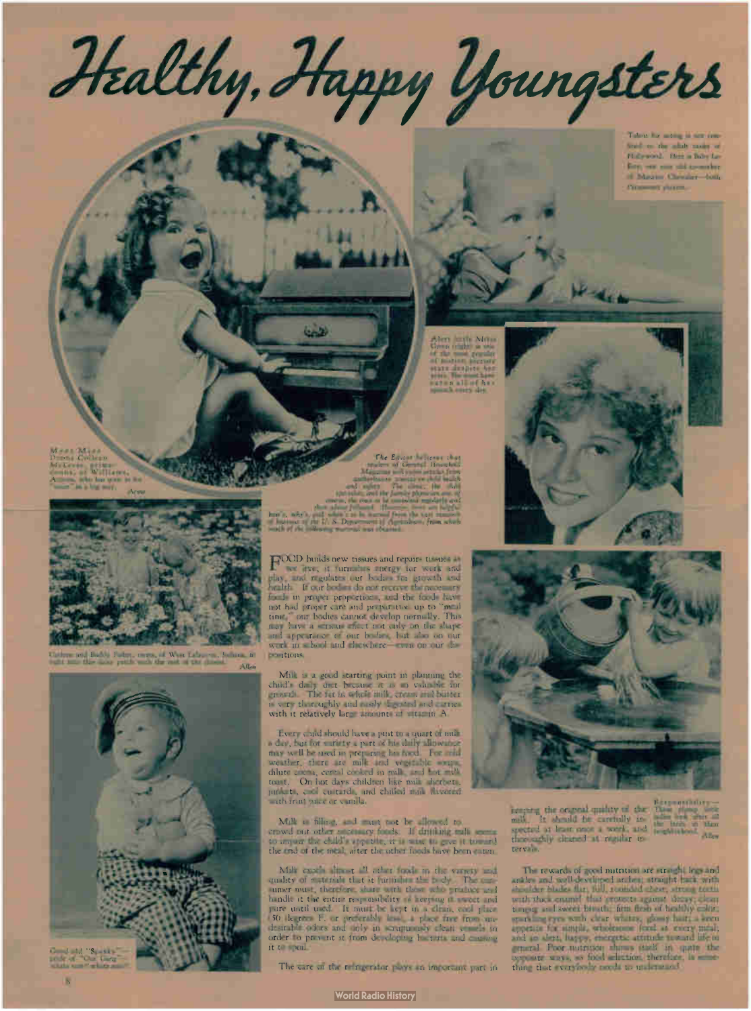Healthy, Happy Youngsters Talent for acting is not confined to the adult ranks of Hollywood. Here is Baby Law Roy, our case still investigaof Maurice Chevaler door. Parameter's shown

Meet Miss Donna Colleen McLeese, prima• donna, of Williams, Arizona, who has gone in "voice" in a big way.



Carlene and Buddy Fisher, twins, of West Lafayette, Indiana. fit positions. right into this daisy patch with the rest of the daisies.



pride of " Our Gang" whata nunl!whata man'

8

The  $E_{\text{max}}$   $\frac{1}{\text{max}}$ The come. He ... **SPC and in the large section are the large sections and in the large section are:** course, they could not be consulted and consultant and consultant and consultant and consultant and their adress followed 11-Increase, these are helpfield. how's, why's, and when's to be learned from the sast results? of bureaust of the U. S. Department of Agriculture, from which

much of the following material was obtained.

44

لاستا

rOOD builds new tissues and repairs tissues as we live; it furnishes energy for werk and<br>play, and regulates our bodies for growth and foods in proper proportions, and the foods have not had proper care and preparation up to "meal time," our bodies cannot develop normally. This may have a serious effect to it only on the shape and appearance of our bodies, but also on our but

Milk is a good starting point in planning the child's daily diet because it is so valuable for growth. The fat in whole milk, cream and butter is very thoroughly and easily digested and carries with it relatively large amounts of vitamin A.

Every cand should have a pint to a quart of milk a day, but for variety a part of his daily allowance may well be used in preparing his food. For cold weather, there are milk and vegetable soups, dilute cocoa, cereal cooked in milk, and hot milk toast. On hot days children like milk sherpets, junkets, cool custards, and chilled milk flavored with fruit juice of *vanilla.* 

Milk is filling, and must not be allowed to crowd out other necessary foods. If drinking milk seems to impair the child's appetite, it is wise to give it toward the end of the meal, after the other foods have been eaten.

Milk excels almost <sup>21</sup> other foods in the variety and quality of materials that it furnishes the body. The consumer must, therefore, share with those who produce and handle it the entire responsibility of keeping it sweet and pure until used. It must be kept in a clean, cool place<br>(50 degrees F. or preferably less), place from un-<br>desirable odors and only in scrupuously clean vessels in order to prevent it from developing bacteria and causing it to spoil.

The care of the refrigerator plays an important part in



**Production** 

11<sub>1</sub>

Alert Mitz Green is a right of the shade. of the most popular of motivate beltzung. sere designer dest years. She must have eaten all of her spinach every day.

> keeping the original quality of the spected at least once a week, and thoroughly cleaned at regular intervals. Responsibility—. These plump little ladies look after all the birds in their neighborhood. Allen

> The rewards of good nutrition are straight legs and ankles and well-developed arches; s and protects against the straight of the straight of the straight of the straight of the straight of the straight of the straight of the straight of the straight of the straight of the s tongug and sweet breath; firm flesh of healthy color; sparkling eyes with clear whites; glossy hair; a ke appetite for simple, wholesome food at every meal; and an alert, happy, energetic attitude toward general. Poor itsirition shows itself in quite opposite ways, so food selection, therefore, is thing that everybody needs to understand.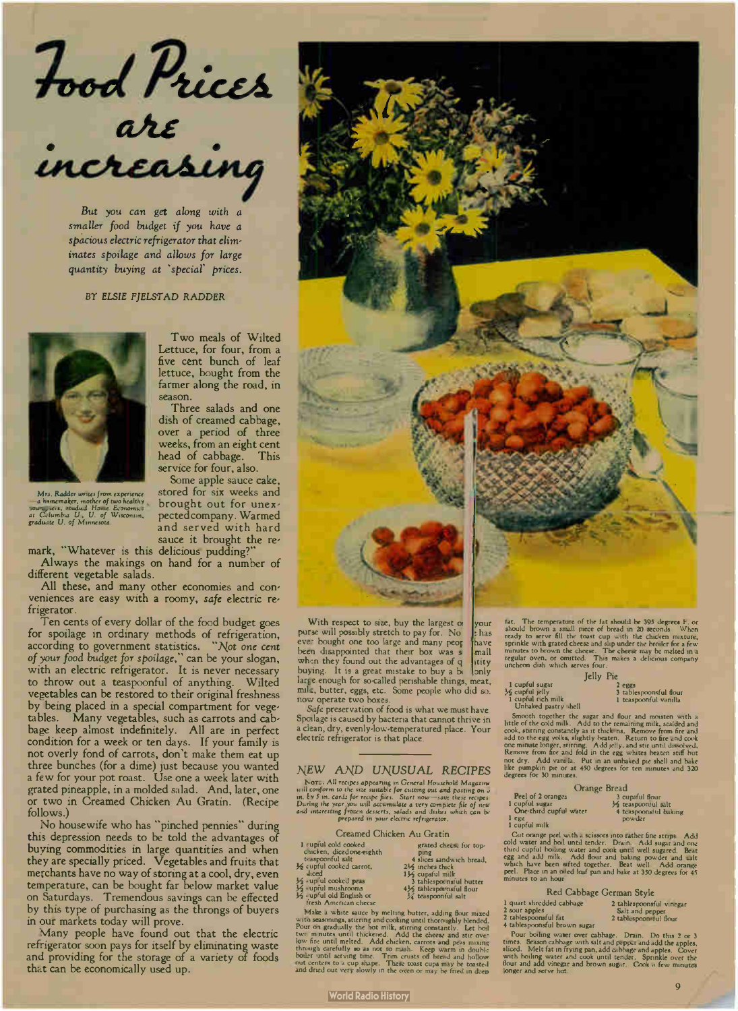Food Price  $\bm{a}$ re •

But you can get along with a smaller food budget if you have a spacious electric refrigerator that eliminates spoilage and allows for large quantity buying at 'special prices.

BY ELSIE FJELSTAD RADDER



Mrs. Rudder writes from experience —a homemaker, mother of two healthy<br>Jour Jichi, studied Home Economics<br>at Celumbia U., U. of Wisconsin,<br>graduate U. of Minnesota.

Two meals of Wilted Lettuce, for four, from a five cent bunch of leaf lettuce, bought from the farmer along the road, in season.

Three salads and one dish of creamed cabbage, over a period of three weeks, from an eight cent head of cabbage. This service for four, also.

Some apple sauce cake, stored for six weeks and brought out for unexpected company. Warmed and served with hard sauce it brought the re-

mark, whatever is this delicious pudding?<br>" Always the makings on hand for a number of

different vegetable salads.

All these, and many other economies and con-veniences are easy with a roomy, safe electric refrigerator.

Ten cents of every dollar of the food budget goes for spoilage in ordinary methods of refrigeration, according to government statistics. - Not one cent of your food budget for spoilage, - can be your slogan, with an electric refrigerator. It is never necessary to throw out a teaspoonful of anything. Wilted vegetables can be restored to their original freshness by being placed in a special compartment for vegetables. Many vegetables, such as carrots and cabbage keep almost indefinitely. All are in perfect condition for a week or ten days. If your family is not overly fond of carrots, don't make them eat up three bunches ( for a dime) just because you wanted a few for your pot roast. Use one a week later with grated pineapple, in a molded salad. And, later, one or two in Creamed Chicken Au Gratin. (Recipe follows.)

No housewife who has "pinched pennies" during this depression needs to be told the advantages of buying commodities in large quantities and when they are specially priced. Vegetables and fruits that merchants have no way of storing at a cool, dry, even temperature, can be bought far below market value on Saturdays. Tremendous savings can be effected by this type of purchasing as the throngs of buyers in our markets today will prove.

Many people have found out that the electric refrigerator soon pays for itself by eliminating waste and providing for the storage of a variety of foods that can be economically used up.



With respect to size, buy the largest of purse will possibly stretch to pay for. No has ever bought one too large and many peor have<br>been disappointed that their box was s<br>mall when they found out the advantages of q  $\frac{1}{2}$  tity buying. It is a great mistake to buy a b  $\frac{1}{2}$  only buying. It is a great mistake to buy a b large enough for so-called perishable things, meat, mila, butter, eggs, etc. Some people who did so. now operate two boxes

Safe preservation of food is what we must have. Spoilage is caused by bacteria that cannot thrive in clean, dry, evenly-low-temperatured place. Your electric refrigerator is that place.

#### NEW AND UNUSUAL RECIPES

North Articless appearing in General Household Magazine<br>unil conform to the size suitable for cutting out and pasting on is<br>in. Ey 5 in. cards for recipe fies. Start now—save these recipes<br>During the year you will accumula

| Creamed Chicken Au Grati |  |  |  |  |
|--------------------------|--|--|--|--|
|--------------------------|--|--|--|--|

ping<br>
ping<br>
d slices sandwich bread,<br>
4 slices thick<br>
11/2 cupsful milk<br>
3 tablespoonful slit<br>
3 stablespoonful salt<br>
3 tablespoonful salt<br>
4 taspoonful salt

- Creamed Chicken Au Gratin<br>1 cupful cold cooked grated cheese for top-<br>1 chicken, diced one-eighth ping
- 
- 
- % cupful cooked carrot, 2% inches thick<br>
4 diced<br>
4 cupful cooked peas 3 tablesponnsful butter<br>  $\frac{1}{2}$  cupful mushrooms 4 $\frac{1}{2}$  tablesponnsful flour<br>  $\frac{1}{2}$  cupful old English or  $\frac{1}{2}$  teaspoonful salt<br>
fresh

Make a white sauce by melting fourter, adding flour mixed<br>with seasonings, stirring and cooking until thoroughly blended.<br>Pour on gradually the hot milk, stirring constantly. Let boil<br>twe mnutes until thickened. Add chicke

rat. The temperature of the rat should be 399 degrees r . or<br>should brown a small piece of bread in 20 seconds. When<br>ready to serve fill the toast cup with the chicken mixture,<br>sprinkle with grated cheese and slip under th Jelly Pie

|                      | lear Lie |                        |
|----------------------|----------|------------------------|
| 1 cupful sugar       |          | $2$ eggs               |
| 16 cupful jelly      |          | 3 tablespoonsful flour |
| 1 cupful rich milk   |          | 1 teaspoonful vanilla  |
| Unbaked pastry shell |          |                        |

Smooth together the sugar and flour and mosten with a<br>little of the cold milk. Add to the remaining milk, scaled and<br>cook, attring constantly as it thick ns. Remove from fre and<br>add to the egg yolks, slightly beaten. Retur not dry. 44dd vani: la. Put in an unbaked pie shell and bake<br>like pumpkin pie or at 450 degrees for ten minutes and 320<br>degrees for 30 minutes.

|                        | Orange Bread |                       |
|------------------------|--------------|-----------------------|
| Peel of 2 oranges      |              | 3 cupsful flour       |
| 1 cupful sugar         |              | 1/2 teaspoonful salt  |
| One-third cupful water |              | 4 teaspoonstul baking |
| $1$ egg                |              | powder                |
| 1 cupful milk          |              |                       |

Cut orange peel with a scissors into rather fine strips. Add<br>cold water and boil until tender. Drain, Add sugar and one<br>third cupful boiling water and cook until well sugared. Beat<br>egg and add milk. Add flour and baking po

| Red Cabbage German Style                                                                          |                                                                       |  |
|---------------------------------------------------------------------------------------------------|-----------------------------------------------------------------------|--|
| 1 quart shredded cabbage<br>2 sour apples<br>2 tablespoonsful fat<br>4 tablespoonsful brown sugar | 2 tablespoonsful vinegar<br>Salt and pepper<br>2 tablespoon tul flour |  |
| Denn keiter under den sicht in                                                                    |                                                                       |  |

4 tablespoonsful brown sugar<br>
Pour boiling water over cabbage. Drain. Do this 2 or 3<br>
times. Season cabbage with salt and peppar and add the apples,<br>
sliced. Melt fat in frying pan, add cabbage and apples. Cover<br>
with boil